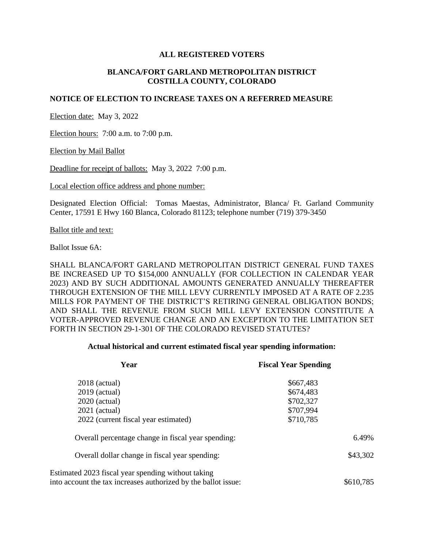### **ALL REGISTERED VOTERS**

## **BLANCA/FORT GARLAND METROPOLITAN DISTRICT COSTILLA COUNTY, COLORADO**

### **NOTICE OF ELECTION TO INCREASE TAXES ON A REFERRED MEASURE**

Election date: May 3, 2022

Election hours: 7:00 a.m. to 7:00 p.m.

Election by Mail Ballot

Deadline for receipt of ballots: May 3, 2022 7:00 p.m.

Local election office address and phone number:

Designated Election Official: Tomas Maestas, Administrator, Blanca/ Ft. Garland Community Center, 17591 E Hwy 160 Blanca, Colorado 81123; telephone number (719) 379-3450

Ballot title and text:

Ballot Issue 6A:

SHALL BLANCA/FORT GARLAND METROPOLITAN DISTRICT GENERAL FUND TAXES BE INCREASED UP TO \$154,000 ANNUALLY (FOR COLLECTION IN CALENDAR YEAR 2023) AND BY SUCH ADDITIONAL AMOUNTS GENERATED ANNUALLY THEREAFTER THROUGH EXTENSION OF THE MILL LEVY CURRENTLY IMPOSED AT A RATE OF 2.235 MILLS FOR PAYMENT OF THE DISTRICT'S RETIRING GENERAL OBLIGATION BONDS; AND SHALL THE REVENUE FROM SUCH MILL LEVY EXTENSION CONSTITUTE A VOTER-APPROVED REVENUE CHANGE AND AN EXCEPTION TO THE LIMITATION SET FORTH IN SECTION 29-1-301 OF THE COLORADO REVISED STATUTES?

#### **Actual historical and current estimated fiscal year spending information:**

| Year                                                           | <b>Fiscal Year Spending</b> |
|----------------------------------------------------------------|-----------------------------|
| $2018$ (actual)                                                | \$667,483                   |
| $2019$ (actual)                                                | \$674,483                   |
| $2020$ (actual)                                                | \$702,327                   |
| $2021$ (actual)                                                | \$707,994                   |
| 2022 (current fiscal year estimated)                           | \$710,785                   |
| Overall percentage change in fiscal year spending:             | 6.49%                       |
| Overall dollar change in fiscal year spending:                 | \$43,302                    |
| Estimated 2023 fiscal year spending without taking             |                             |
| into account the tax increases authorized by the ballot issue: | \$610,785                   |